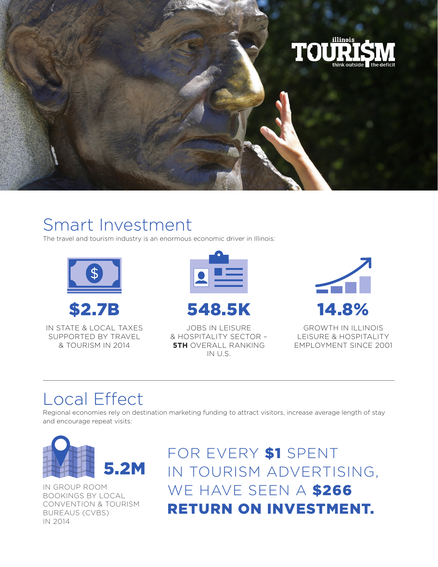

## Smart Investment

The travel and tourism industry is an enormous economic driver in Illinois:





IN STATE & LOCAL TAXES SUPPORTED BY TRAVEL & TOURISM IN 2014





JOBS IN LEISURE & HOSPITALITY SECTOR – **5TH** OVERALL RANKING IN U.S.



GROWTH IN ILLINOIS LEISURE & HOSPITALITY EMPLOYMENT SINCE 2001

## Local Effect

Regional economies rely on destination marketing funding to attract visitors, increase average length of stay and encourage repeat visits:



IN GROUP ROOM BOOKINGS BY LOCAL CONVENTION & TOURISM BUREAUS (CVBS) IN 2014

FOR EVERY \$1 SPENT IN TOURISM ADVERTISING, WE HAVE SEEN A \$266 RETURN ON INVESTMENT.